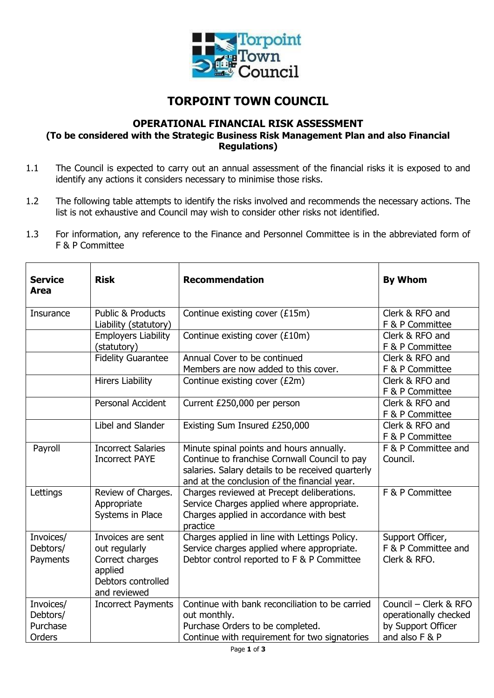

## **TORPOINT TOWN COUNCIL**

## **OPERATIONAL FINANCIAL RISK ASSESSMENT**

**(To be considered with the Strategic Business Risk Management Plan and also Financial Regulations)**

- 1.1 The Council is expected to carry out an annual assessment of the financial risks it is exposed to and identify any actions it considers necessary to minimise those risks.
- 1.2 The following table attempts to identify the risks involved and recommends the necessary actions. The list is not exhaustive and Council may wish to consider other risks not identified.
- 1.3 For information, any reference to the Finance and Personnel Committee is in the abbreviated form of F & P Committee

| <b>Service</b><br>Area                      | <b>Risk</b>                                                                                            | <b>Recommendation</b>                                                                                                                                                                          | <b>By Whom</b>                                                                         |
|---------------------------------------------|--------------------------------------------------------------------------------------------------------|------------------------------------------------------------------------------------------------------------------------------------------------------------------------------------------------|----------------------------------------------------------------------------------------|
| Insurance                                   | <b>Public &amp; Products</b><br>Liability (statutory)                                                  | Continue existing cover (£15m)                                                                                                                                                                 | Clerk & RFO and<br>F & P Committee                                                     |
|                                             | <b>Employers Liability</b><br>(statutory)                                                              | Continue existing cover (£10m)                                                                                                                                                                 | Clerk & RFO and<br>F & P Committee                                                     |
|                                             | <b>Fidelity Guarantee</b>                                                                              | Annual Cover to be continued<br>Members are now added to this cover.                                                                                                                           | Clerk & RFO and<br>F & P Committee                                                     |
|                                             | <b>Hirers Liability</b>                                                                                | Continue existing cover (£2m)                                                                                                                                                                  | Clerk & RFO and<br>F & P Committee                                                     |
|                                             | <b>Personal Accident</b>                                                                               | Current £250,000 per person                                                                                                                                                                    | Clerk & RFO and<br>F & P Committee                                                     |
|                                             | Libel and Slander                                                                                      | Existing Sum Insured £250,000                                                                                                                                                                  | Clerk & RFO and<br>F & P Committee                                                     |
| Payroll                                     | <b>Incorrect Salaries</b><br><b>Incorrect PAYE</b>                                                     | Minute spinal points and hours annually.<br>Continue to franchise Cornwall Council to pay<br>salaries. Salary details to be received quarterly<br>and at the conclusion of the financial year. | F & P Committee and<br>Council.                                                        |
| Lettings                                    | Review of Charges.<br>Appropriate<br>Systems in Place                                                  | Charges reviewed at Precept deliberations.<br>Service Charges applied where appropriate.<br>Charges applied in accordance with best<br>practice                                                | F & P Committee                                                                        |
| Invoices/<br>Debtors/<br>Payments           | Invoices are sent<br>out regularly<br>Correct charges<br>applied<br>Debtors controlled<br>and reviewed | Charges applied in line with Lettings Policy.<br>Service charges applied where appropriate.<br>Debtor control reported to F & P Committee                                                      | Support Officer,<br>F & P Committee and<br>Clerk & RFO.                                |
| Invoices/<br>Debtors/<br>Purchase<br>Orders | <b>Incorrect Payments</b>                                                                              | Continue with bank reconciliation to be carried<br>out monthly.<br>Purchase Orders to be completed.<br>Continue with requirement for two signatories                                           | Council - Clerk & RFO<br>operationally checked<br>by Support Officer<br>and also F & P |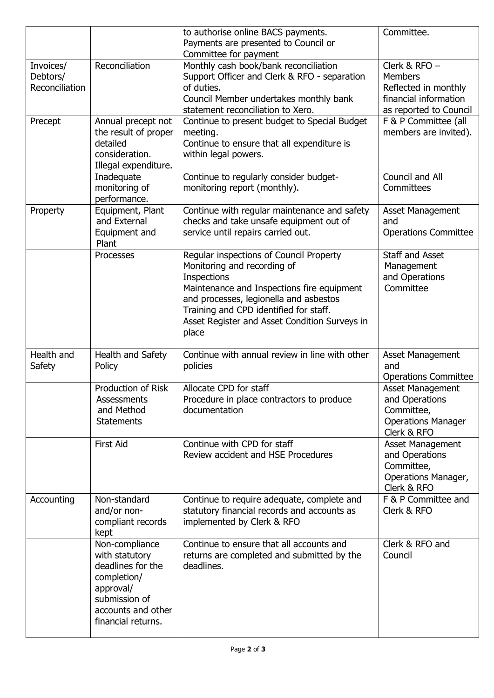|                                         |                                                                                                                                                | to authorise online BACS payments.<br>Payments are presented to Council or<br>Committee for payment                                                                                                                                                                               | Committee.                                                                                                   |
|-----------------------------------------|------------------------------------------------------------------------------------------------------------------------------------------------|-----------------------------------------------------------------------------------------------------------------------------------------------------------------------------------------------------------------------------------------------------------------------------------|--------------------------------------------------------------------------------------------------------------|
| Invoices/<br>Debtors/<br>Reconciliation | Reconciliation                                                                                                                                 | Monthly cash book/bank reconciliation<br>Support Officer and Clerk & RFO - separation<br>of duties.<br>Council Member undertakes monthly bank<br>statement reconciliation to Xero.                                                                                                | Clerk & $RFO -$<br><b>Members</b><br>Reflected in monthly<br>financial information<br>as reported to Council |
| Precept                                 | Annual precept not<br>the result of proper<br>detailed<br>consideration.<br>Illegal expenditure.                                               | Continue to present budget to Special Budget<br>meeting.<br>Continue to ensure that all expenditure is<br>within legal powers.                                                                                                                                                    | F & P Committee (all<br>members are invited).                                                                |
|                                         | Inadequate<br>monitoring of<br>performance.                                                                                                    | Continue to regularly consider budget-<br>monitoring report (monthly).                                                                                                                                                                                                            | Council and All<br>Committees                                                                                |
| Property                                | Equipment, Plant<br>and External<br>Equipment and<br>Plant                                                                                     | Continue with regular maintenance and safety<br>checks and take unsafe equipment out of<br>service until repairs carried out.                                                                                                                                                     | <b>Asset Management</b><br>and<br><b>Operations Committee</b>                                                |
|                                         | Processes                                                                                                                                      | Regular inspections of Council Property<br>Monitoring and recording of<br>Inspections<br>Maintenance and Inspections fire equipment<br>and processes, legionella and asbestos<br>Training and CPD identified for staff.<br>Asset Register and Asset Condition Surveys in<br>place | Staff and Asset<br>Management<br>and Operations<br>Committee                                                 |
| Health and<br>Safety                    | Health and Safety<br>Policy                                                                                                                    | Continue with annual review in line with other<br>policies                                                                                                                                                                                                                        | <b>Asset Management</b><br>and<br><b>Operations Committee</b>                                                |
|                                         | <b>Production of Risk</b><br>Assessments<br>and Method<br><b>Statements</b>                                                                    | Allocate CPD for staff<br>Procedure in place contractors to produce<br>documentation                                                                                                                                                                                              | <b>Asset Management</b><br>and Operations<br>Committee,<br><b>Operations Manager</b><br>Clerk & RFO          |
|                                         | <b>First Aid</b>                                                                                                                               | Continue with CPD for staff<br>Review accident and HSE Procedures                                                                                                                                                                                                                 | <b>Asset Management</b><br>and Operations<br>Committee,<br>Operations Manager,<br>Clerk & RFO                |
| Accounting                              | Non-standard<br>and/or non-<br>compliant records<br>kept                                                                                       | Continue to require adequate, complete and<br>statutory financial records and accounts as<br>implemented by Clerk & RFO                                                                                                                                                           | F & P Committee and<br>Clerk & RFO                                                                           |
|                                         | Non-compliance<br>with statutory<br>deadlines for the<br>completion/<br>approval/<br>submission of<br>accounts and other<br>financial returns. | Continue to ensure that all accounts and<br>returns are completed and submitted by the<br>deadlines.                                                                                                                                                                              | Clerk & RFO and<br>Council                                                                                   |